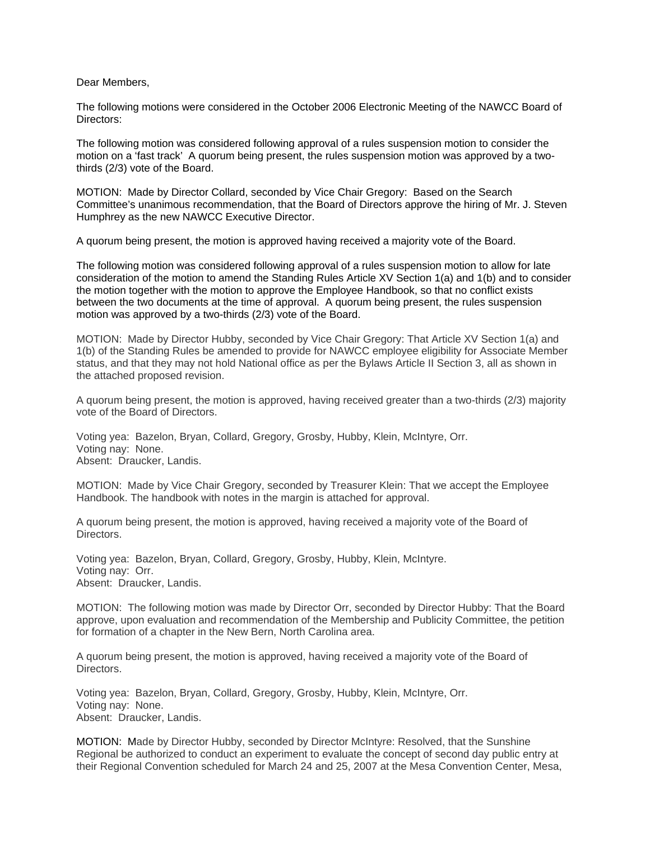Dear Members,

The following motions were considered in the October 2006 Electronic Meeting of the NAWCC Board of Directors:

The following motion was considered following approval of a rules suspension motion to consider the motion on a 'fast track' A quorum being present, the rules suspension motion was approved by a twothirds (2/3) vote of the Board.

MOTION: Made by Director Collard, seconded by Vice Chair Gregory: Based on the Search Committee's unanimous recommendation, that the Board of Directors approve the hiring of Mr. J. Steven Humphrey as the new NAWCC Executive Director.

A quorum being present, the motion is approved having received a majority vote of the Board.

The following motion was considered following approval of a rules suspension motion to allow for late consideration of the motion to amend the Standing Rules Article XV Section 1(a) and 1(b) and to consider the motion together with the motion to approve the Employee Handbook, so that no conflict exists between the two documents at the time of approval. A quorum being present, the rules suspension motion was approved by a two-thirds (2/3) vote of the Board.

MOTION: Made by Director Hubby, seconded by Vice Chair Gregory: That Article XV Section 1(a) and 1(b) of the Standing Rules be amended to provide for NAWCC employee eligibility for Associate Member status, and that they may not hold National office as per the Bylaws Article II Section 3, all as shown in the attached proposed revision.

A quorum being present, the motion is approved, having received greater than a two-thirds (2/3) majority vote of the Board of Directors.

Voting yea: Bazelon, Bryan, Collard, Gregory, Grosby, Hubby, Klein, McIntyre, Orr. Voting nay: None. Absent: Draucker, Landis.

MOTION: Made by Vice Chair Gregory, seconded by Treasurer Klein: That we accept the Employee Handbook. The handbook with notes in the margin is attached for approval.

A quorum being present, the motion is approved, having received a majority vote of the Board of Directors.

Voting yea: Bazelon, Bryan, Collard, Gregory, Grosby, Hubby, Klein, McIntyre. Voting nay: Orr. Absent: Draucker, Landis.

MOTION: The following motion was made by Director Orr, seconded by Director Hubby: That the Board approve, upon evaluation and recommendation of the Membership and Publicity Committee, the petition for formation of a chapter in the New Bern, North Carolina area.

A quorum being present, the motion is approved, having received a majority vote of the Board of Directors.

Voting yea: Bazelon, Bryan, Collard, Gregory, Grosby, Hubby, Klein, McIntyre, Orr. Voting nay: None. Absent: Draucker, Landis.

MOTION: Made by Director Hubby, seconded by Director McIntyre: Resolved, that the Sunshine Regional be authorized to conduct an experiment to evaluate the concept of second day public entry at their Regional Convention scheduled for March 24 and 25, 2007 at the Mesa Convention Center, Mesa,